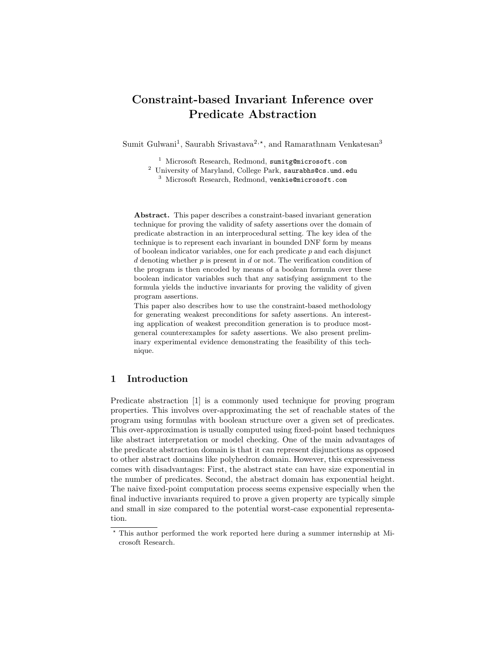# Constraint-based Invariant Inference over Predicate Abstraction

Sumit Gulwani<sup>1</sup>, Saurabh Srivastava<sup>2,\*</sup>, and Ramarathnam Venkatesan<sup>3</sup>

<sup>1</sup> Microsoft Research, Redmond, sumitg@microsoft.com

<sup>2</sup> University of Maryland, College Park, saurabhs@cs.umd.edu

<sup>3</sup> Microsoft Research, Redmond, venkie@microsoft.com

Abstract. This paper describes a constraint-based invariant generation technique for proving the validity of safety assertions over the domain of predicate abstraction in an interprocedural setting. The key idea of the technique is to represent each invariant in bounded DNF form by means of boolean indicator variables, one for each predicate  $p$  and each disjunct d denoting whether  $p$  is present in  $d$  or not. The verification condition of the program is then encoded by means of a boolean formula over these boolean indicator variables such that any satisfying assignment to the formula yields the inductive invariants for proving the validity of given program assertions.

This paper also describes how to use the constraint-based methodology for generating weakest preconditions for safety assertions. An interesting application of weakest precondition generation is to produce mostgeneral counterexamples for safety assertions. We also present preliminary experimental evidence demonstrating the feasibility of this technique.

# 1 Introduction

Predicate abstraction [1] is a commonly used technique for proving program properties. This involves over-approximating the set of reachable states of the program using formulas with boolean structure over a given set of predicates. This over-approximation is usually computed using fixed-point based techniques like abstract interpretation or model checking. One of the main advantages of the predicate abstraction domain is that it can represent disjunctions as opposed to other abstract domains like polyhedron domain. However, this expressiveness comes with disadvantages: First, the abstract state can have size exponential in the number of predicates. Second, the abstract domain has exponential height. The naive fixed-point computation process seems expensive especially when the final inductive invariants required to prove a given property are typically simple and small in size compared to the potential worst-case exponential representation.

<sup>?</sup> This author performed the work reported here during a summer internship at Microsoft Research.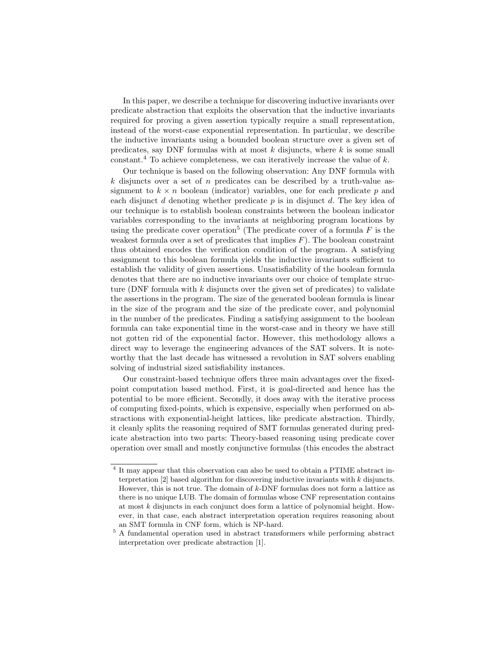In this paper, we describe a technique for discovering inductive invariants over predicate abstraction that exploits the observation that the inductive invariants required for proving a given assertion typically require a small representation, instead of the worst-case exponential representation. In particular, we describe the inductive invariants using a bounded boolean structure over a given set of predicates, say DNF formulas with at most  $k$  disjuncts, where  $k$  is some small constant.<sup>4</sup> To achieve completeness, we can iteratively increase the value of  $k$ .

Our technique is based on the following observation: Any DNF formula with  $k$  disjuncts over a set of n predicates can be described by a truth-value assignment to  $k \times n$  boolean (indicator) variables, one for each predicate p and each disjunct d denoting whether predicate  $p$  is in disjunct d. The key idea of our technique is to establish boolean constraints between the boolean indicator variables corresponding to the invariants at neighboring program locations by using the predicate cover operation<sup>5</sup> (The predicate cover of a formula  $F$  is the weakest formula over a set of predicates that implies  $F$ ). The boolean constraint thus obtained encodes the verification condition of the program. A satisfying assignment to this boolean formula yields the inductive invariants sufficient to establish the validity of given assertions. Unsatisfiability of the boolean formula denotes that there are no inductive invariants over our choice of template structure (DNF formula with  $k$  disjuncts over the given set of predicates) to validate the assertions in the program. The size of the generated boolean formula is linear in the size of the program and the size of the predicate cover, and polynomial in the number of the predicates. Finding a satisfying assignment to the boolean formula can take exponential time in the worst-case and in theory we have still not gotten rid of the exponential factor. However, this methodology allows a direct way to leverage the engineering advances of the SAT solvers. It is noteworthy that the last decade has witnessed a revolution in SAT solvers enabling solving of industrial sized satisfiability instances.

Our constraint-based technique offers three main advantages over the fixedpoint computation based method. First, it is goal-directed and hence has the potential to be more efficient. Secondly, it does away with the iterative process of computing fixed-points, which is expensive, especially when performed on abstractions with exponential-height lattices, like predicate abstraction. Thirdly, it cleanly splits the reasoning required of SMT formulas generated during predicate abstraction into two parts: Theory-based reasoning using predicate cover operation over small and mostly conjunctive formulas (this encodes the abstract

<sup>&</sup>lt;sup>4</sup> It may appear that this observation can also be used to obtain a PTIME abstract interpretation  $[2]$  based algorithm for discovering inductive invariants with  $k$  disjuncts. However, this is not true. The domain of  $k$ -DNF formulas does not form a lattice as there is no unique LUB. The domain of formulas whose CNF representation contains at most  $k$  disjuncts in each conjunct does form a lattice of polynomial height. However, in that case, each abstract interpretation operation requires reasoning about an SMT formula in CNF form, which is NP-hard.

 $^5$  A fundamental operation used in abstract transformers while performing abstract  $\,$ interpretation over predicate abstraction [1].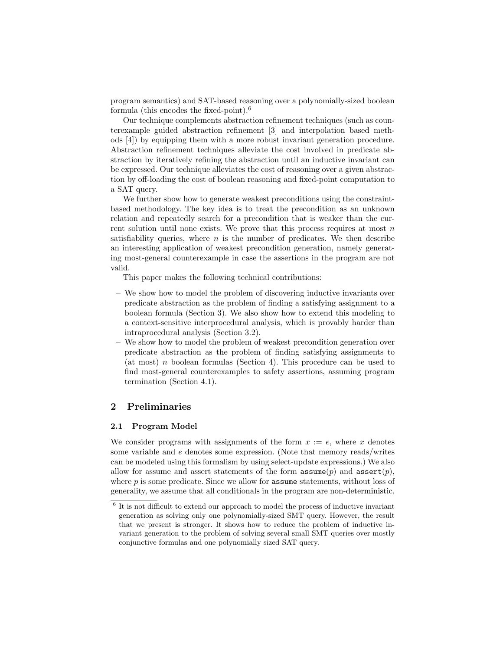program semantics) and SAT-based reasoning over a polynomially-sized boolean formula (this encodes the fixed-point).<sup>6</sup>

Our technique complements abstraction refinement techniques (such as counterexample guided abstraction refinement [3] and interpolation based methods [4]) by equipping them with a more robust invariant generation procedure. Abstraction refinement techniques alleviate the cost involved in predicate abstraction by iteratively refining the abstraction until an inductive invariant can be expressed. Our technique alleviates the cost of reasoning over a given abstraction by off-loading the cost of boolean reasoning and fixed-point computation to a SAT query.

We further show how to generate weakest preconditions using the constraintbased methodology. The key idea is to treat the precondition as an unknown relation and repeatedly search for a precondition that is weaker than the current solution until none exists. We prove that this process requires at most  $n$ satisfiability queries, where  $n$  is the number of predicates. We then describe an interesting application of weakest precondition generation, namely generating most-general counterexample in case the assertions in the program are not valid.

This paper makes the following technical contributions:

- We show how to model the problem of discovering inductive invariants over predicate abstraction as the problem of finding a satisfying assignment to a boolean formula (Section 3). We also show how to extend this modeling to a context-sensitive interprocedural analysis, which is provably harder than intraprocedural analysis (Section 3.2).
- We show how to model the problem of weakest precondition generation over predicate abstraction as the problem of finding satisfying assignments to (at most) n boolean formulas (Section 4). This procedure can be used to find most-general counterexamples to safety assertions, assuming program termination (Section 4.1).

# 2 Preliminaries

#### 2.1 Program Model

We consider programs with assignments of the form  $x := e$ , where x denotes some variable and e denotes some expression. (Note that memory reads/writes can be modeled using this formalism by using select-update expressions.) We also allow for assume and assert statements of the form  $\text{assume}(p)$  and  $\text{assert}(p)$ , where  $p$  is some predicate. Since we allow for **assume** statements, without loss of generality, we assume that all conditionals in the program are non-deterministic.

<sup>&</sup>lt;sup>6</sup> It is not difficult to extend our approach to model the process of inductive invariant generation as solving only one polynomially-sized SMT query. However, the result that we present is stronger. It shows how to reduce the problem of inductive invariant generation to the problem of solving several small SMT queries over mostly conjunctive formulas and one polynomially sized SAT query.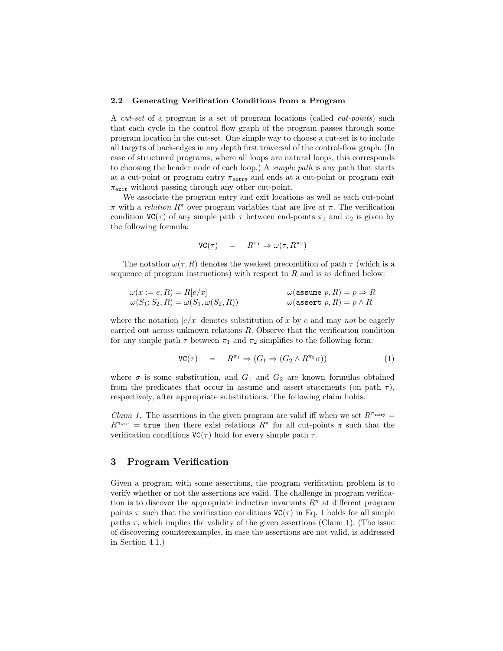#### 2.2 Generating Verification Conditions from a Program

A cut-set of a program is a set of program locations (called cut-points) such that each cycle in the control flow graph of the program passes through some program location in the cut-set. One simple way to choose a cut-set is to include all targets of back-edges in any depth first traversal of the control-flow graph. (In case of structured programs, where all loops are natural loops, this corresponds to choosing the header node of each loop.) A simple path is any path that starts at a cut-point or program entry  $\pi_{\text{entry}}$  and ends at a cut-point or program exit  $\pi_{\text{exit}}$  without passing through any other cut-point.

We associate the program entry and exit locations as well as each cut-point  $\pi$  with a *relation*  $R^{\pi}$  over program variables that are live at  $\pi$ . The verification condition  $VC(\tau)$  of any simple path  $\tau$  between end-points  $\pi_1$  and  $\pi_2$  is given by the following formula:

$$
VC(\tau) = R^{\pi_1} \Rightarrow \omega(\tau, R^{\pi_2})
$$

The notation  $\omega(\tau, R)$  denotes the weakest precondition of path  $\tau$  (which is a sequence of program instructions) with respect to  $R$  and is as defined below:

$$
\begin{aligned}\n\omega(x := e, R) &= R[e/x] & \omega(\text{assume } p, R) &= p \Rightarrow R \\
\omega(S_1; S_2, R) &= \omega(S_1, \omega(S_2, R)) & \omega(\text{assert } p, R) &= p \land R\n\end{aligned}
$$

where the notation  $[e/x]$  denotes substitution of x by e and may not be eagerly carried out across unknown relations R. Observe that the verification condition for any simple path  $\tau$  between  $\pi_1$  and  $\pi_2$  simplifies to the following form:

$$
VC(\tau) = R^{\pi_1} \Rightarrow (G_1 \Rightarrow (G_2 \land R^{\pi_2} \sigma))
$$
\n(1)

where  $\sigma$  is some substitution, and  $G_1$  and  $G_2$  are known formulas obtained from the predicates that occur in assume and assert statements (on path  $\tau$ ), respectively, after appropriate substitutions. The following claim holds.

*Claim 1.* The assertions in the given program are valid iff when we set  $R^{\pi_{\text{entry}}}$  $R^{\pi_{\text{exit}}}$  = true then there exist relations  $R^{\pi}$  for all cut-points  $\pi$  such that the verification conditions  $VC(\tau)$  hold for every simple path  $\tau$ .

## 3 Program Verification

Given a program with some assertions, the program verification problem is to verify whether or not the assertions are valid. The challenge in program verification is to discover the appropriate inductive invariants  $R^{\pi}$  at different program points  $\pi$  such that the verification conditions  $VC(\tau)$  in Eq. 1 holds for all simple paths  $\tau$ , which implies the validity of the given assertions (Claim 1). (The issue of discovering counterexamples, in case the assertions are not valid, is addressed in Section 4.1.)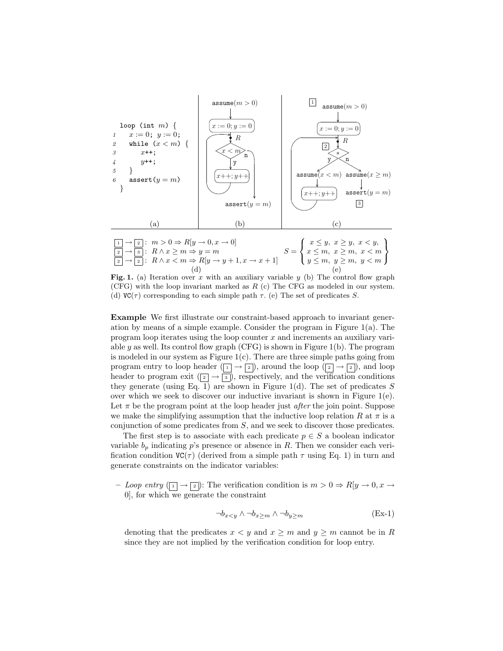

Fig. 1. (a) Iteration over x with an auxiliary variable y (b) The control flow graph (CFG) with the loop invariant marked as  $R$  (c) The CFG as modeled in our system. (d)  $VC(\tau)$  corresponding to each simple path  $\tau$ . (e) The set of predicates S.

Example We first illustrate our constraint-based approach to invariant generation by means of a simple example. Consider the program in Figure  $1(a)$ . The program loop iterates using the loop counter x and increments an auxiliary variable y as well. Its control flow graph (CFG) is shown in Figure 1(b). The program is modeled in our system as Figure  $1(c)$ . There are three simple paths going from program entry to loop header  $(\overline{1} \rightarrow \overline{2})$ , around the loop  $(\overline{2} \rightarrow \overline{2})$ , and loop header to program exit  $(\sqrt{2} \rightarrow \sqrt{3})$ , respectively, and the verification conditions they generate (using Eq. 1) are shown in Figure 1(d). The set of predicates  $S$ over which we seek to discover our inductive invariant is shown in Figure  $1(e)$ . Let  $\pi$  be the program point at the loop header just *after* the join point. Suppose we make the simplifying assumption that the inductive loop relation R at  $\pi$  is a conjunction of some predicates from S, and we seek to discover those predicates.

The first step is to associate with each predicate  $p \in S$  a boolean indicator variable  $b_p$  indicating p's presence or absence in R. Then we consider each verification condition  $VC(\tau)$  (derived from a simple path  $\tau$  using Eq. 1) in turn and generate constraints on the indicator variables:

– Loop entry  $(\lceil \cdot \rceil \to \lceil \cdot \rceil)$ : The verification condition is  $m > 0 \Rightarrow R[y \to 0, x \to 0]$ 0], for which we generate the constraint

$$
\neg b_{x \le y} \land \neg b_{x \ge m} \land \neg b_{y \ge m} \tag{Ex-1}
$$

denoting that the predicates  $x < y$  and  $x \ge m$  and  $y \ge m$  cannot be in R since they are not implied by the verification condition for loop entry.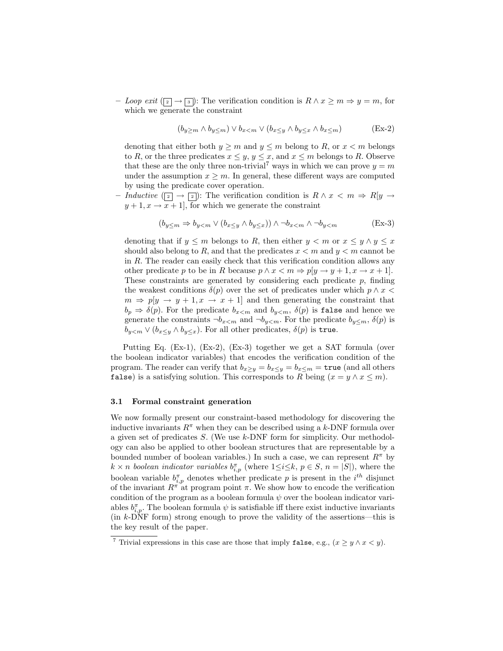– Loop exit  $(\sqrt{2} \rightarrow \sqrt{3})$ : The verification condition is  $R \wedge x \geq m \Rightarrow y = m$ , for which we generate the constraint

$$
(b_{y \ge m} \wedge b_{y \le m}) \vee b_{x < m} \vee (b_{x \le y} \wedge b_{y \le x} \wedge b_{x \le m})
$$
 (Ex-2)

denoting that either both  $y \ge m$  and  $y \le m$  belong to R, or  $x < m$  belongs to R, or the three predicates  $x \leq y, y \leq x$ , and  $x \leq m$  belongs to R. Observe that these are the only three non-trivial<sup>7</sup> ways in which we can prove  $y = m$ under the assumption  $x \geq m$ . In general, these different ways are computed by using the predicate cover operation.

– Inductive  $(\boxed{2}$  →  $\boxed{2}$ ): The verification condition is  $R \wedge x < m \Rightarrow R[y \rightarrow$  $y + 1, x \rightarrow x + 1$ , for which we generate the constraint

$$
(b_{y \leq m} \Rightarrow b_{y < m} \lor (b_{x \leq y} \land b_{y \leq x})) \land \neg b_{x < m} \land \neg b_{y < m}
$$
 (Ex-3)

denoting that if  $y \le m$  belongs to R, then either  $y \le m$  or  $x \le y \wedge y \le x$ should also belong to R, and that the predicates  $x < m$  and  $y < m$  cannot be in R. The reader can easily check that this verification condition allows any other predicate p to be in R because  $p \wedge x \leq m \Rightarrow p[y \rightarrow y + 1, x \rightarrow x + 1].$ These constraints are generated by considering each predicate  $p$ , finding the weakest conditions  $\delta(p)$  over the set of predicates under which  $p \wedge x$  $m \Rightarrow p[y \rightarrow y + 1, x \rightarrow x + 1]$  and then generating the constraint that  $b_p \Rightarrow \delta(p)$ . For the predicate  $b_{x and  $b_{y,  $\delta(p)$  is false and hence we$$ generate the constraints  $\neg b_{x\leq m}$  and  $\neg b_{y\leq m}$ . For the predicate  $b_{y\leq m}$ ,  $\delta(p)$  is  $b_{y. For all other predicates,  $\delta(p)$  is true.$ 

Putting Eq. (Ex-1), (Ex-2), (Ex-3) together we get a SAT formula (over the boolean indicator variables) that encodes the verification condition of the program. The reader can verify that  $b_{x>y} = b_{x\leq y} = b_{x\leq m} = \text{true}$  (and all others false) is a satisfying solution. This corresponds to R being  $(x = y \land x \leq m)$ .

#### 3.1 Formal constraint generation

We now formally present our constraint-based methodology for discovering the inductive invariants  $R^{\pi}$  when they can be described using a k-DNF formula over a given set of predicates S. (We use k-DNF form for simplicity. Our methodology can also be applied to other boolean structures that are representable by a bounded number of boolean variables.) In such a case, we can represent  $R^{\pi}$  by  $k \times n$  boolean indicator variables  $b_{i,p}^{\pi}$  (where  $1 \leq i \leq k, p \in S, n = |S|$ ), where the boolean variable  $b_{i,p}^{\pi}$  denotes whether predicate p is present in the  $i^{th}$  disjunct of the invariant  $R^{\pi}$  at program point  $\pi$ . We show how to encode the verification condition of the program as a boolean formula  $\psi$  over the boolean indicator variables  $b_{i,p}^{\pi}$ . The boolean formula  $\psi$  is satisfiable iff there exist inductive invariants  $(in k-DNF form)$  strong enough to prove the validity of the assertions—this is the key result of the paper.

<sup>&</sup>lt;sup>7</sup> Trivial expressions in this case are those that imply **false**, e.g.,  $(x \ge y \land x < y)$ .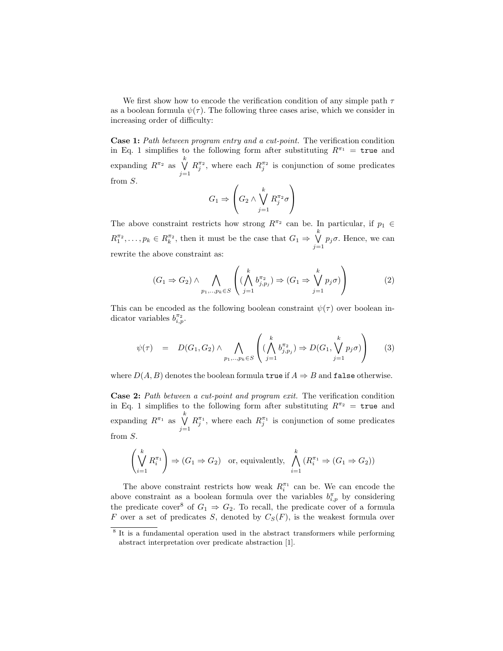We first show how to encode the verification condition of any simple path  $\tau$ as a boolean formula  $\psi(\tau)$ . The following three cases arise, which we consider in increasing order of difficulty:

Case 1: Path between program entry and a cut-point. The verification condition in Eq. 1 simplifies to the following form after substituting  $R^{\pi_1}$  = true and expanding  $R^{\pi_2}$  as  $\bigvee^k$  $j=1$  $R_j^{\pi_2}$ , where each  $R_j^{\pi_2}$  is conjunction of some predicates from S.

$$
G_1 \Rightarrow \left( G_2 \wedge \bigvee_{j=1}^k R_j^{\pi_2} \sigma \right)
$$

The above constraint restricts how strong  $R^{\pi_2}$  can be. In particular, if  $p_1 \in$  $R_1^{\pi_2}, \ldots, p_k \in R_k^{\pi_2}$ , then it must be the case that  $G_1 \Rightarrow \bigvee^k$  $\bigvee_{j=1} p_j \sigma$ . Hence, we can rewrite the above constraint as:

$$
(G_1 \Rightarrow G_2) \land \bigwedge_{p_1, \dots, p_k \in S} \left( (\bigwedge_{j=1}^k b_{j, p_j}^{\pi_2}) \Rightarrow (G_1 \Rightarrow \bigvee_{j=1}^k p_j \sigma) \right)
$$
 (2)

This can be encoded as the following boolean constraint  $\psi(\tau)$  over boolean indicator variables  $b_{i,p}^{\pi_2}$ .

$$
\psi(\tau) = D(G_1, G_2) \wedge \bigwedge_{p_1, \dots, p_k \in S} \left( (\bigwedge_{j=1}^k b_{j, p_j}^{\pi_2}) \Rightarrow D(G_1, \bigvee_{j=1}^k p_j \sigma) \right) \tag{3}
$$

where  $D(A, B)$  denotes the boolean formula true if  $A \Rightarrow B$  and false otherwise.

Case 2: Path between a cut-point and program exit. The verification condition in Eq. 1 simplifies to the following form after substituting  $R^{\pi_2}$  = true and expanding  $R^{\pi_1}$  as  $\bigvee^k$  $j=1$  $R_j^{\pi_1}$ , where each  $R_j^{\pi_1}$  is conjunction of some predicates from S.

$$
\left(\bigvee_{i=1}^{k} R_{i}^{\pi_{1}}\right) \Rightarrow (G_{1} \Rightarrow G_{2}) \text{ or, equivalently, } \bigwedge_{i=1}^{k} (R_{i}^{\pi_{1}} \Rightarrow (G_{1} \Rightarrow G_{2}))
$$

The above constraint restricts how weak  $R_i^{\pi_1}$  can be. We can encode the above constraint as a boolean formula over the variables  $b_{i,p}^{\pi}$  by considering the predicate cover<sup>8</sup> of  $G_1 \Rightarrow G_2$ . To recall, the predicate cover of a formula F over a set of predicates S, denoted by  $C_S(F)$ , is the weakest formula over

<sup>&</sup>lt;sup>8</sup> It is a fundamental operation used in the abstract transformers while performing abstract interpretation over predicate abstraction [1].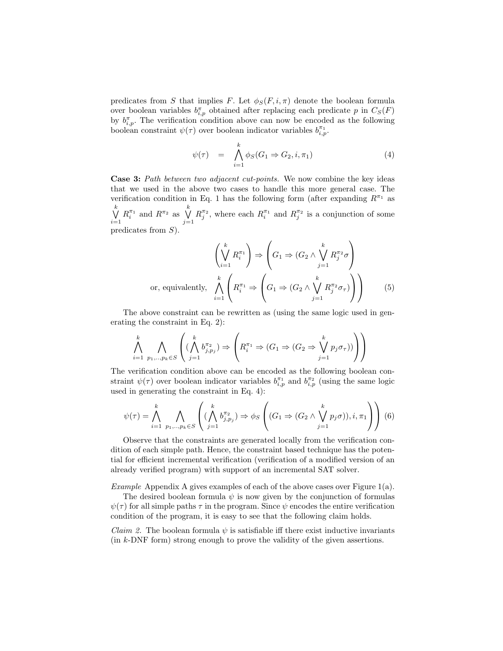predicates from S that implies F. Let  $\phi_S(F, i, \pi)$  denote the boolean formula over boolean variables  $b_{i,p}^{\pi}$  obtained after replacing each predicate p in  $C_S(F)$ by  $b_{i,p}^{\pi}$ . The verification condition above can now be encoded as the following boolean constraint  $\psi(\tau)$  over boolean indicator variables  $b_{i,p}^{\pi_1}$ .

$$
\psi(\tau) = \bigwedge_{i=1}^{k} \phi_S(G_1 \Rightarrow G_2, i, \pi_1) \tag{4}
$$

Case 3: Path between two adjacent cut-points. We now combine the key ideas that we used in the above two cases to handle this more general case. The verification condition in Eq. 1 has the following form (after expanding  $R^{\pi_1}$  as  $\bigvee^k$  $i=1$  $R_i^{\pi_1}$  and  $R^{\pi_2}$  as  $\bigvee^k$  $j=1$  $R_j^{\pi_2}$ , where each  $R_i^{\pi_1}$  and  $R_j^{\pi_2}$  is a conjunction of some predicates from S).

$$
\left(\bigvee_{i=1}^{k} R_{i}^{\pi_{1}}\right) \Rightarrow \left(G_{1} \Rightarrow \left(G_{2} \land \bigvee_{j=1}^{k} R_{j}^{\pi_{2}} \sigma\right)\right)
$$
\nor, equivalently, 
$$
\bigwedge_{i=1}^{k} \left(R_{i}^{\pi_{1}} \Rightarrow \left(G_{1} \Rightarrow \left(G_{2} \land \bigvee_{j=1}^{k} R_{j}^{\pi_{2}} \sigma_{\tau}\right)\right)\right)
$$
\n(5)

The above constraint can be rewritten as (using the same logic used in generating the constraint in Eq. 2):

$$
\bigwedge_{i=1}^k \bigwedge_{p_1,\dots,p_k \in S} \left( (\bigwedge_{j=1}^k b_{j,p_j}^{\pi_2}) \Rightarrow \left( R_i^{\pi_1} \Rightarrow (G_1 \Rightarrow (G_2 \Rightarrow \bigvee_{j=1}^k p_j \sigma_{\tau})) \right) \right)
$$

The verification condition above can be encoded as the following boolean constraint  $\psi(\tau)$  over boolean indicator variables  $b_{i,p}^{\pi_1}$  and  $b_{i,p}^{\pi_2}$  (using the same logic used in generating the constraint in Eq. 4):

$$
\psi(\tau) = \bigwedge_{i=1}^k \bigwedge_{p_1,\dots,p_k \in S} \left( (\bigwedge_{j=1}^k b_{j,p_j}^{\pi_2}) \Rightarrow \phi_S \left( (G_1 \Rightarrow (G_2 \land \bigvee_{j=1}^k p_j \sigma)), i, \pi_1 \right) \right) (6)
$$

Observe that the constraints are generated locally from the verification condition of each simple path. Hence, the constraint based technique has the potential for efficient incremental verification (verification of a modified version of an already verified program) with support of an incremental SAT solver.

Example Appendix A gives examples of each of the above cases over Figure 1(a).

The desired boolean formula  $\psi$  is now given by the conjunction of formulas  $\psi(\tau)$  for all simple paths  $\tau$  in the program. Since  $\psi$  encodes the entire verification condition of the program, it is easy to see that the following claim holds.

*Claim 2.* The boolean formula  $\psi$  is satisfiable iff there exist inductive invariants (in k-DNF form) strong enough to prove the validity of the given assertions.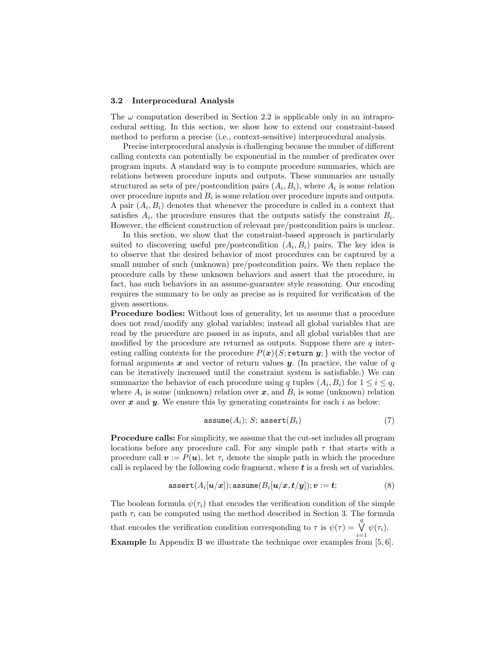#### 3.2 Interprocedural Analysis

The  $\omega$  computation described in Section 2.2 is applicable only in an intraprocedural setting. In this section, we show how to extend our constraint-based method to perform a precise (i.e., context-sensitive) interprocedural analysis.

Precise interprocedural analysis is challenging because the number of different calling contexts can potentially be exponential in the number of predicates over program inputs. A standard way is to compute procedure summaries, which are relations between procedure inputs and outputs. These summaries are usually structured as sets of pre/postcondition pairs  $(A_i, B_i)$ , where  $A_i$  is some relation over procedure inputs and  $B_i$  is some relation over procedure inputs and outputs. A pair  $(A_i, B_i)$  denotes that whenever the procedure is called in a context that satisfies  $A_i$ , the procedure ensures that the outputs satisfy the constraint  $B_i$ . However, the efficient construction of relevant pre/postcondition pairs is unclear.

In this section, we show that the constraint-based approach is particularly suited to discovering useful pre/postcondition  $(A_i, B_i)$  pairs. The key idea is to observe that the desired behavior of most procedures can be captured by a small number of such (unknown) pre/postcondition pairs. We then replace the procedure calls by these unknown behaviors and assert that the procedure, in fact, has such behaviors in an assume-guarantee style reasoning. Our encoding requires the summary to be only as precise as is required for verification of the given assertions.

Procedure bodies: Without loss of generality, let us assume that a procedure does not read/modify any global variables; instead all global variables that are read by the procedure are passed in as inputs, and all global variables that are modified by the procedure are returned as outputs. Suppose there are  $q$  interesting calling contexts for the procedure  $P(x)\{S;$  return y; with the vector of formal arguments  $x$  and vector of return values  $y$ . (In practice, the value of  $q$ can be iteratively increased until the constraint system is satisfiable.) We can summarize the behavior of each procedure using q tuples  $(A_i, B_i)$  for  $1 \leq i \leq q$ , where  $A_i$  is some (unknown) relation over  $x$ , and  $B_i$  is some (unknown) relation over  $x$  and  $y$ . We ensure this by generating constraints for each  $i$  as below:

$$
\mathtt{assume}(A_i); S; \mathtt{assert}(B_i) \tag{7}
$$

Procedure calls: For simplicity, we assume that the cut-set includes all program locations before any procedure call. For any simple path  $\tau$  that starts with a procedure call  $\mathbf{v} := P(\mathbf{u})$ , let  $\tau_i$  denote the simple path in which the procedure call is replaced by the following code fragment, where  $t$  is a fresh set of variables.

$$
\text{assert}(A_i[\boldsymbol{u}/x]); \text{assume}(B_i[\boldsymbol{u}/x, t/y]); \boldsymbol{v} := \boldsymbol{t};\tag{8}
$$

The boolean formula  $\psi(\tau_i)$  that encodes the verification condition of the simple path  $\tau_i$  can be computed using the method described in Section 3. The formula that encodes the verification condition corresponding to  $\tau$  is  $\psi(\tau) = \bigvee^{q}$  $\bigvee_{i=1} \psi(\tau_i).$ Example In Appendix B we illustrate the technique over examples from [5, 6].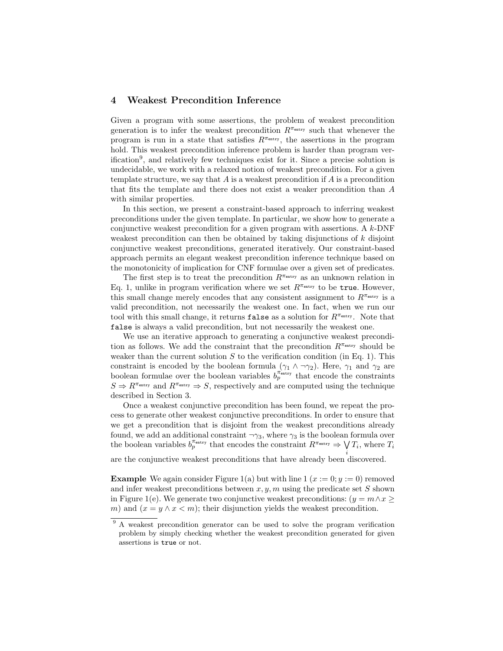# 4 Weakest Precondition Inference

Given a program with some assertions, the problem of weakest precondition generation is to infer the weakest precondition  $R^{\pi_{\text{entry}}}$  such that whenever the program is run in a state that satisfies  $R^{\pi_{\text{entry}}}$ , the assertions in the program hold. This weakest precondition inference problem is harder than program verification<sup>9</sup> , and relatively few techniques exist for it. Since a precise solution is undecidable, we work with a relaxed notion of weakest precondition. For a given template structure, we say that  $A$  is a weakest precondition if  $A$  is a precondition that fits the template and there does not exist a weaker precondition than A with similar properties.

In this section, we present a constraint-based approach to inferring weakest preconditions under the given template. In particular, we show how to generate a conjunctive weakest precondition for a given program with assertions. A  $k$ -DNF weakest precondition can then be obtained by taking disjunctions of  $k$  disjoint conjunctive weakest preconditions, generated iteratively. Our constraint-based approach permits an elegant weakest precondition inference technique based on the monotonicity of implication for CNF formulae over a given set of predicates.

The first step is to treat the precondition  $R^{\pi_{\text{entry}}}$  as an unknown relation in Eq. 1, unlike in program verification where we set  $R^{\pi_{\text{entry}}}$  to be true. However, this small change merely encodes that any consistent assignment to  $R^{\pi_{\text{entry}}}$  is a valid precondition, not necessarily the weakest one. In fact, when we run our tool with this small change, it returns false as a solution for  $R^{\pi_{\text{entry}}}.$  Note that false is always a valid precondition, but not necessarily the weakest one.

We use an iterative approach to generating a conjunctive weakest precondition as follows. We add the constraint that the precondition  $R^{\pi_{\text{entry}}}$  should be weaker than the current solution  $S$  to the verification condition (in Eq. 1). This constraint is encoded by the boolean formula  $(\gamma_1 \wedge \neg \gamma_2)$ . Here,  $\gamma_1$  and  $\gamma_2$  are boolean formulae over the boolean variables  $b_p^{\pi_{\text{entry}}}$  that encode the constraints  $S \Rightarrow R^{\pi_{\text{entry}}}$  and  $R^{\pi_{\text{entry}}} \Rightarrow S$ , respectively and are computed using the technique described in Section 3.

Once a weakest conjunctive precondition has been found, we repeat the process to generate other weakest conjunctive preconditions. In order to ensure that we get a precondition that is disjoint from the weakest preconditions already found, we add an additional constraint  $\neg \gamma_3$ , where  $\gamma_3$  is the boolean formula over the boolean variables  $b_p^{\pi_{\text{entry}}}$  that encodes the constraint  $R^{\pi_{\text{entry}}} \Rightarrow V$  $\bigvee_i T_i$ , where  $T_i$ 

are the conjunctive weakest preconditions that have already been discovered.

**Example** We again consider Figure 1(a) but with line 1 ( $x := 0$ ;  $y := 0$ ) removed and infer weakest preconditions between  $x, y, m$  using the predicate set S shown in Figure 1(e). We generate two conjunctive weakest preconditions:  $(y = m \land x >$ m) and  $(x = y \land x < m)$ ; their disjunction yields the weakest precondition.

<sup>&</sup>lt;sup>9</sup> A weakest precondition generator can be used to solve the program verification problem by simply checking whether the weakest precondition generated for given assertions is true or not.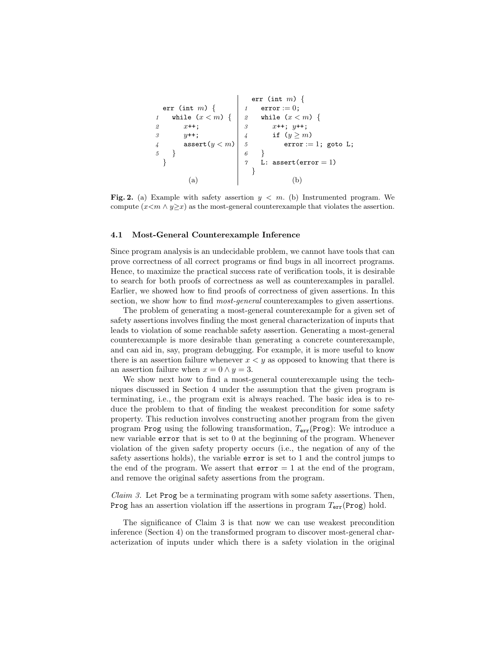```
err (int m) {
1 while (x < m) {
2 x^{++};
3 y^{++};
4 assert(y < m)5 }
 }
                   err (int m) {
                  1 error := 0;
                  2 while (x < m) {
                  3 x++; y++;4 if (y \ge m)5 error := 1; goto L;
                  6 }
                  \gamma L: assert(error = 1)
                    }
      (a) (b)
```
Fig. 2. (a) Example with safety assertion  $y < m$ . (b) Instrumented program. We compute  $(x\leq m \land y\geq x)$  as the most-general counterexample that violates the assertion.

#### 4.1 Most-General Counterexample Inference

Since program analysis is an undecidable problem, we cannot have tools that can prove correctness of all correct programs or find bugs in all incorrect programs. Hence, to maximize the practical success rate of verification tools, it is desirable to search for both proofs of correctness as well as counterexamples in parallel. Earlier, we showed how to find proofs of correctness of given assertions. In this section, we show how to find *most-general* counterexamples to given assertions.

The problem of generating a most-general counterexample for a given set of safety assertions involves finding the most general characterization of inputs that leads to violation of some reachable safety assertion. Generating a most-general counterexample is more desirable than generating a concrete counterexample, and can aid in, say, program debugging. For example, it is more useful to know there is an assertion failure whenever  $x \leq y$  as opposed to knowing that there is an assertion failure when  $x = 0 \land y = 3$ .

We show next how to find a most-general counterexample using the techniques discussed in Section 4 under the assumption that the given program is terminating, i.e., the program exit is always reached. The basic idea is to reduce the problem to that of finding the weakest precondition for some safety property. This reduction involves constructing another program from the given program Prog using the following transformation,  $T_{\text{err}}(\text{Prog})$ : We introduce a new variable error that is set to 0 at the beginning of the program. Whenever violation of the given safety property occurs (i.e., the negation of any of the safety assertions holds), the variable error is set to 1 and the control jumps to the end of the program. We assert that  $error = 1$  at the end of the program, and remove the original safety assertions from the program.

*Claim 3.* Let  $\text{Prog}$  be a terminating program with some safety assertions. Then, **Prog** has an assertion violation iff the assertions in program  $T_{err}$ (Prog) hold.

The significance of Claim 3 is that now we can use weakest precondition inference (Section 4) on the transformed program to discover most-general characterization of inputs under which there is a safety violation in the original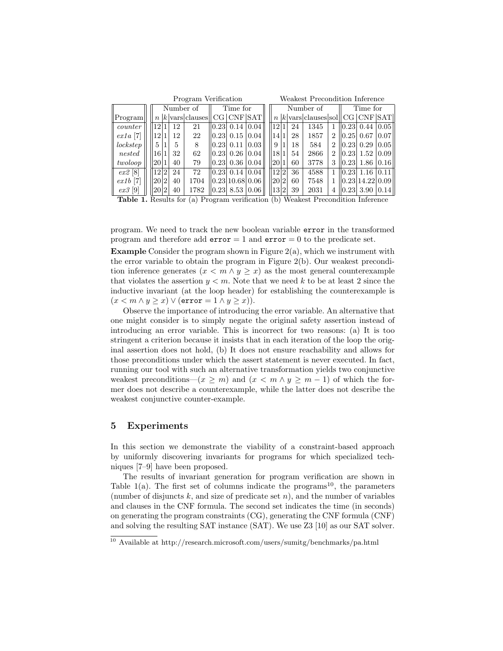|            | Program Verification |                  |  |    |                                 |          |                  |      |  | Weakest Precondition Inference |  |    |                                               |                |          |                               |      |
|------------|----------------------|------------------|--|----|---------------------------------|----------|------------------|------|--|--------------------------------|--|----|-----------------------------------------------|----------------|----------|-------------------------------|------|
|            |                      | Number of        |  |    |                                 | Time for |                  |      |  | Number of                      |  |    |                                               |                | Time for |                               |      |
| Program    |                      | $\boldsymbol{n}$ |  |    | $k$ vars clauses $ CG CNF SAT $ |          |                  |      |  |                                |  |    | $n  k $ vars clauses sol $ {\rm CG} $ CNF SAT |                |          |                               |      |
| counter    |                      | 12 <sup>1</sup>  |  | 12 | 21                              |          | $ 0.23 $ 0.14    | 0.04 |  | 12 <sup>1</sup>                |  | 24 | 1345                                          |                |          | 0.23  0.44                    | 0.05 |
| $ex1a$ [7] |                      | 12               |  | 12 | 22                              |          | $ 0.23 $ $0.15 $ | 0.04 |  | 141                            |  | 28 | 1857                                          | 2              |          | 0.25  0.67                    | 0.07 |
| lockstep   |                      | $\mathbf{5}$     |  | 5  | 8                               |          | 0.23 0.11        | 0.03 |  | 9                              |  | 18 | 584                                           | $\overline{2}$ |          | $\vert 0.23 \vert 0.29 \vert$ | 0.05 |
| nested     |                      | <b>16</b>        |  | 32 | 62                              |          | 0.23  0.26  0.04 |      |  | 18 1                           |  | 54 | 2866                                          | 2              | 0.23     | 1.52                          | 0.09 |
| twoloop    |                      | 2011             |  | 40 | 79                              |          | 0.23 0.36        | 0.04 |  | 20                             |  | 60 | 3778                                          | 3              | 0.23     | 1.86                          | 0.16 |
| $ex2$ [8]  |                      | 12 2             |  | 24 | 72                              |          | $ 0.23 $ 0.14    | 0.04 |  | 12 2                           |  | 36 | 4588                                          |                | 0.23     | 1.16                          | 0.11 |
| $ex1b$ [7] |                      | 20 2             |  | 40 | 1704                            |          | 0.23 10.68 0.06  |      |  | 2012                           |  | 60 | 7548                                          |                |          | 0.23 14.22 0.09               |      |
| $ex3$ [9]  |                      | 2012             |  | 40 | 1782                            | 0.23     | 8.53   0.06      |      |  | 13 2                           |  | 39 | 2031                                          | 4              | 0.23     | 3.90                          | 0.14 |

Table 1. Results for (a) Program verification (b) Weakest Precondition Inference

program. We need to track the new boolean variable error in the transformed program and therefore add  $error = 1$  and  $error = 0$  to the predicate set.

**Example** Consider the program shown in Figure  $2(a)$ , which we instrument with the error variable to obtain the program in Figure 2(b). Our weakest precondition inference generates  $(x < m \land y \geq x)$  as the most general counterexample that violates the assertion  $y < m$ . Note that we need k to be at least 2 since the inductive invariant (at the loop header) for establishing the counterexample is  $(x < m \wedge y > x) \vee (error = 1 \wedge y > x)).$ 

Observe the importance of introducing the error variable. An alternative that one might consider is to simply negate the original safety assertion instead of introducing an error variable. This is incorrect for two reasons: (a) It is too stringent a criterion because it insists that in each iteration of the loop the original assertion does not hold, (b) It does not ensure reachability and allows for those preconditions under which the assert statement is never executed. In fact, running our tool with such an alternative transformation yields two conjunctive weakest preconditions— $(x \geq m)$  and  $(x < m \wedge y \geq m - 1)$  of which the former does not describe a counterexample, while the latter does not describe the weakest conjunctive counter-example.

## 5 Experiments

In this section we demonstrate the viability of a constraint-based approach by uniformly discovering invariants for programs for which specialized techniques [7–9] have been proposed.

The results of invariant generation for program verification are shown in Table 1(a). The first set of columns indicate the programs<sup>10</sup>, the parameters (number of disjuncts  $k$ , and size of predicate set  $n$ ), and the number of variables and clauses in the CNF formula. The second set indicates the time (in seconds) on generating the program constraints (CG), generating the CNF formula (CNF) and solving the resulting SAT instance (SAT). We use Z3 [10] as our SAT solver.

 $\frac{10}{10}$  Available at http://research.microsoft.com/users/sumitg/benchmarks/pa.html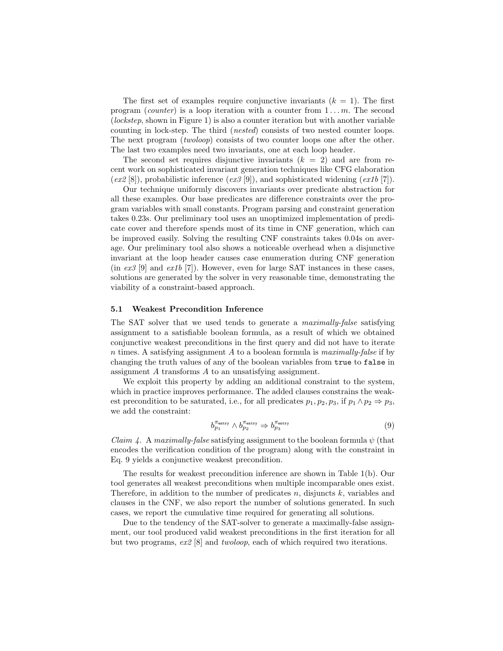The first set of examples require conjunctive invariants  $(k = 1)$ . The first program (counter) is a loop iteration with a counter from  $1 \dots m$ . The second (lockstep, shown in Figure 1) is also a counter iteration but with another variable counting in lock-step. The third (nested) consists of two nested counter loops. The next program *(twoloop)* consists of two counter loops one after the other. The last two examples need two invariants, one at each loop header.

The second set requires disjunctive invariants  $(k = 2)$  and are from recent work on sophisticated invariant generation techniques like CFG elaboration  $(ex2 [8]$ , probabilistic inference  $(ex3 [9])$ , and sophisticated widening  $(ex1b [7])$ .

Our technique uniformly discovers invariants over predicate abstraction for all these examples. Our base predicates are difference constraints over the program variables with small constants. Program parsing and constraint generation takes 0.23s. Our preliminary tool uses an unoptimized implementation of predicate cover and therefore spends most of its time in CNF generation, which can be improved easily. Solving the resulting CNF constraints takes 0.04s on average. Our preliminary tool also shows a noticeable overhead when a disjunctive invariant at the loop header causes case enumeration during CNF generation  $(in \; ex3 \; [9] \; and \; ex1b \; [7])$ . However, even for large SAT instances in these cases, solutions are generated by the solver in very reasonable time, demonstrating the viability of a constraint-based approach.

#### 5.1 Weakest Precondition Inference

The SAT solver that we used tends to generate a *maximally-false* satisfying assignment to a satisfiable boolean formula, as a result of which we obtained conjunctive weakest preconditions in the first query and did not have to iterate  $n$  times. A satisfying assignment  $A$  to a boolean formula is *maximally-false* if by changing the truth values of any of the boolean variables from true to false in assignment A transforms A to an unsatisfying assignment.

We exploit this property by adding an additional constraint to the system, which in practice improves performance. The added clauses constrains the weakest precondition to be saturated, i.e., for all predicates  $p_1, p_2, p_3$ , if  $p_1 \wedge p_2 \Rightarrow p_3$ , we add the constraint:

$$
b_{p_1}^{\pi_{\text{entry}}} \wedge b_{p_2}^{\pi_{\text{entry}}} \Rightarrow b_{p_3}^{\pi_{\text{entry}}} \tag{9}
$$

*Claim 4.* A *maximally-false* satisfying assignment to the boolean formula  $\psi$  (that encodes the verification condition of the program) along with the constraint in Eq. 9 yields a conjunctive weakest precondition.

The results for weakest precondition inference are shown in Table 1(b). Our tool generates all weakest preconditions when multiple incomparable ones exist. Therefore, in addition to the number of predicates  $n$ , disjuncts  $k$ , variables and clauses in the CNF, we also report the number of solutions generated. In such cases, we report the cumulative time required for generating all solutions.

Due to the tendency of the SAT-solver to generate a maximally-false assignment, our tool produced valid weakest preconditions in the first iteration for all but two programs, ex2 [8] and twoloop, each of which required two iterations.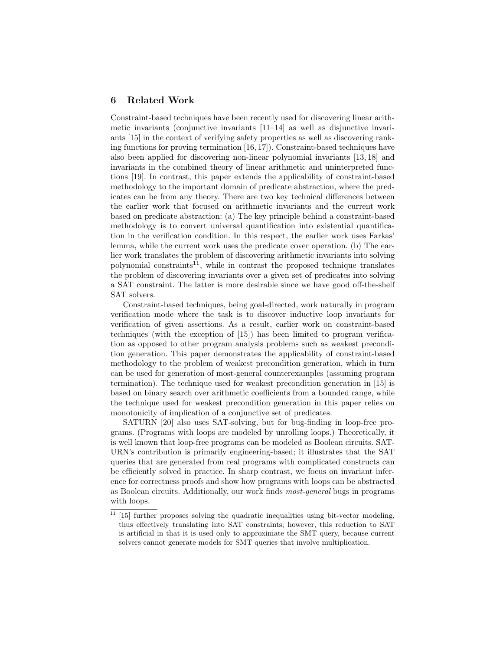## 6 Related Work

Constraint-based techniques have been recently used for discovering linear arithmetic invariants (conjunctive invariants  $[11-14]$  as well as disjunctive invariants [15] in the context of verifying safety properties as well as discovering ranking functions for proving termination [16, 17]). Constraint-based techniques have also been applied for discovering non-linear polynomial invariants [13, 18] and invariants in the combined theory of linear arithmetic and uninterpreted functions [19]. In contrast, this paper extends the applicability of constraint-based methodology to the important domain of predicate abstraction, where the predicates can be from any theory. There are two key technical differences between the earlier work that focused on arithmetic invariants and the current work based on predicate abstraction: (a) The key principle behind a constraint-based methodology is to convert universal quantification into existential quantification in the verification condition. In this respect, the earlier work uses Farkas' lemma, while the current work uses the predicate cover operation. (b) The earlier work translates the problem of discovering arithmetic invariants into solving polynomial constraints<sup>11</sup>, while in contrast the proposed technique translates the problem of discovering invariants over a given set of predicates into solving a SAT constraint. The latter is more desirable since we have good off-the-shelf SAT solvers.

Constraint-based techniques, being goal-directed, work naturally in program verification mode where the task is to discover inductive loop invariants for verification of given assertions. As a result, earlier work on constraint-based techniques (with the exception of [15]) has been limited to program verification as opposed to other program analysis problems such as weakest precondition generation. This paper demonstrates the applicability of constraint-based methodology to the problem of weakest precondition generation, which in turn can be used for generation of most-general counterexamples (assuming program termination). The technique used for weakest precondition generation in [15] is based on binary search over arithmetic coefficients from a bounded range, while the technique used for weakest precondition generation in this paper relies on monotonicity of implication of a conjunctive set of predicates.

SATURN [20] also uses SAT-solving, but for bug-finding in loop-free programs. (Programs with loops are modeled by unrolling loops.) Theoretically, it is well known that loop-free programs can be modeled as Boolean circuits. SAT-URN's contribution is primarily engineering-based; it illustrates that the SAT queries that are generated from real programs with complicated constructs can be efficiently solved in practice. In sharp contrast, we focus on invariant inference for correctness proofs and show how programs with loops can be abstracted as Boolean circuits. Additionally, our work finds most-general bugs in programs with loops.

 $11$  [15] further proposes solving the quadratic inequalities using bit-vector modeling, thus effectively translating into SAT constraints; however, this reduction to SAT is artificial in that it is used only to approximate the SMT query, because current solvers cannot generate models for SMT queries that involve multiplication.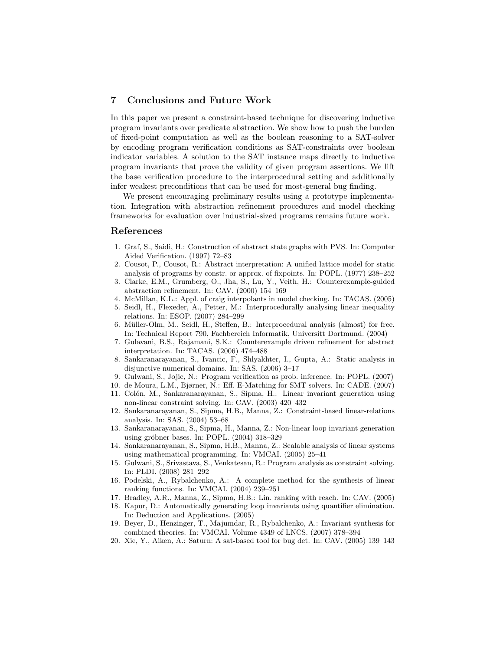## 7 Conclusions and Future Work

In this paper we present a constraint-based technique for discovering inductive program invariants over predicate abstraction. We show how to push the burden of fixed-point computation as well as the boolean reasoning to a SAT-solver by encoding program verification conditions as SAT-constraints over boolean indicator variables. A solution to the SAT instance maps directly to inductive program invariants that prove the validity of given program assertions. We lift the base verification procedure to the interprocedural setting and additionally infer weakest preconditions that can be used for most-general bug finding.

We present encouraging preliminary results using a prototype implementation. Integration with abstraction refinement procedures and model checking frameworks for evaluation over industrial-sized programs remains future work.

### References

- 1. Graf, S., Saidi, H.: Construction of abstract state graphs with PVS. In: Computer Aided Verification. (1997) 72–83
- 2. Cousot, P., Cousot, R.: Abstract interpretation: A unified lattice model for static analysis of programs by constr. or approx. of fixpoints. In: POPL. (1977) 238–252
- 3. Clarke, E.M., Grumberg, O., Jha, S., Lu, Y., Veith, H.: Counterexample-guided abstraction refinement. In: CAV. (2000) 154–169
- 4. McMillan, K.L.: Appl. of craig interpolants in model checking. In: TACAS. (2005)
- 5. Seidl, H., Flexeder, A., Petter, M.: Interprocedurally analysing linear inequality relations. In: ESOP. (2007) 284–299
- 6. M¨uller-Olm, M., Seidl, H., Steffen, B.: Interprocedural analysis (almost) for free. In: Technical Report 790, Fachbereich Informatik, Universitt Dortmund. (2004)
- 7. Gulavani, B.S., Rajamani, S.K.: Counterexample driven refinement for abstract interpretation. In: TACAS. (2006) 474–488
- 8. Sankaranarayanan, S., Ivancic, F., Shlyakhter, I., Gupta, A.: Static analysis in disjunctive numerical domains. In: SAS. (2006) 3–17
- 9. Gulwani, S., Jojic, N.: Program verification as prob. inference. In: POPL. (2007)
- 10. de Moura, L.M., Bjørner, N.: Eff. E-Matching for SMT solvers. In: CADE. (2007)
- 11. Colón, M., Sankaranarayanan, S., Sipma, H.: Linear invariant generation using non-linear constraint solving. In: CAV. (2003) 420–432
- 12. Sankaranarayanan, S., Sipma, H.B., Manna, Z.: Constraint-based linear-relations analysis. In: SAS. (2004) 53–68
- 13. Sankaranarayanan, S., Sipma, H., Manna, Z.: Non-linear loop invariant generation using gröbner bases. In: POPL. (2004) 318-329
- 14. Sankaranarayanan, S., Sipma, H.B., Manna, Z.: Scalable analysis of linear systems using mathematical programming. In: VMCAI. (2005) 25–41
- 15. Gulwani, S., Srivastava, S., Venkatesan, R.: Program analysis as constraint solving. In: PLDI. (2008) 281–292
- 16. Podelski, A., Rybalchenko, A.: A complete method for the synthesis of linear ranking functions. In: VMCAI. (2004) 239–251
- 17. Bradley, A.R., Manna, Z., Sipma, H.B.: Lin. ranking with reach. In: CAV. (2005)
- 18. Kapur, D.: Automatically generating loop invariants using quantifier elimination. In: Deduction and Applications. (2005)
- 19. Beyer, D., Henzinger, T., Majumdar, R., Rybalchenko, A.: Invariant synthesis for combined theories. In: VMCAI. Volume 4349 of LNCS. (2007) 378–394
- 20. Xie, Y., Aiken, A.: Saturn: A sat-based tool for bug det. In: CAV. (2005) 139–143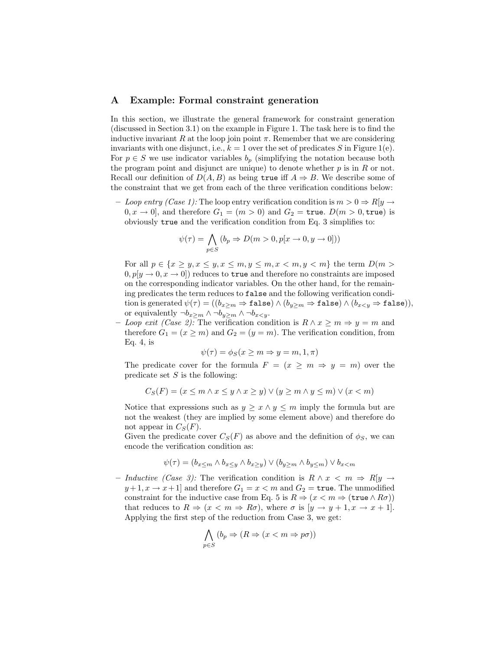## A Example: Formal constraint generation

In this section, we illustrate the general framework for constraint generation (discussed in Section 3.1) on the example in Figure 1. The task here is to find the inductive invariant R at the loop join point  $\pi$ . Remember that we are considering invariants with one disjunct, i.e.,  $k = 1$  over the set of predicates S in Figure 1(e). For  $p \in S$  we use indicator variables  $b_p$  (simplifying the notation because both the program point and disjunct are unique) to denote whether  $p$  is in  $R$  or not. Recall our definition of  $D(A, B)$  as being true iff  $A \Rightarrow B$ . We describe some of the constraint that we get from each of the three verification conditions below:

– Loop entry (Case 1): The loop entry verification condition is  $m > 0 \Rightarrow R[y \rightarrow$  $(0, x \rightarrow 0]$ , and therefore  $G_1 = (m > 0)$  and  $G_2 = \text{true}$ .  $D(m > 0, \text{true})$  is obviously true and the verification condition from Eq. 3 simplifies to:

$$
\psi(\tau) = \bigwedge_{p \in S} (b_p \Rightarrow D(m > 0, p[x \rightarrow 0, y \rightarrow 0]))
$$

For all  $p \in \{x \geq y, x \leq y, x \leq m, y \leq m, x < m, y < m\}$  the term  $D(m > y)$  $(0, p[y \rightarrow 0, x \rightarrow 0])$  reduces to true and therefore no constraints are imposed on the corresponding indicator variables. On the other hand, for the remaining predicates the term reduces to false and the following verification condition is generated  $\psi(\tau) = ((b_{x>m} \Rightarrow \mathtt{false}) \wedge (b_{y>m} \Rightarrow \mathtt{false}) \wedge (b_{x \leq y} \Rightarrow \mathtt{false})),$ or equivalently  $\neg b_x>m \wedge \neg b_y>m \wedge \neg b_x.$ 

– Loop exit (Case 2): The verification condition is  $R \wedge x \geq m \Rightarrow y = m$  and therefore  $G_1 = (x \ge m)$  and  $G_2 = (y = m)$ . The verification condition, from Eq. 4, is

$$
\psi(\tau) = \phi_S(x \ge m \Rightarrow y = m, 1, \pi)
$$

The predicate cover for the formula  $F = (x \ge m \Rightarrow y = m)$  over the predicate set  $S$  is the following:

$$
C_S(F) = (x \le m \land x \le y \land x \ge y) \lor (y \ge m \land y \le m) \lor (x < m)
$$

Notice that expressions such as  $y \geq x \land y \leq m$  imply the formula but are not the weakest (they are implied by some element above) and therefore do not appear in  $C_S(F)$ .

Given the predicate cover  $C_S(F)$  as above and the definition of  $\phi_S$ , we can encode the verification condition as:

$$
\psi(\tau) = (b_{x \le m} \wedge b_{x \le y} \wedge b_{x \ge y}) \vee (b_{y \ge m} \wedge b_{y \le m}) \vee b_{x < m}
$$

– Inductive (Case 3): The verification condition is  $R \wedge x \langle m \Rightarrow R[y \rightarrow$  $y+1, x \to x+1$  and therefore  $G_1 = x < m$  and  $G_2 = \text{true}$ . The unmodified constraint for the inductive case from Eq. 5 is  $R \Rightarrow (x < m \Rightarrow (\text{true} \land R\sigma))$ that reduces to  $R \Rightarrow (x < m \Rightarrow R\sigma)$ , where  $\sigma$  is  $[y \rightarrow y+1, x \rightarrow x+1]$ . Applying the first step of the reduction from Case 3, we get:

$$
\bigwedge_{p \in S} (b_p \Rightarrow (R \Rightarrow (x < m \Rightarrow p\sigma))
$$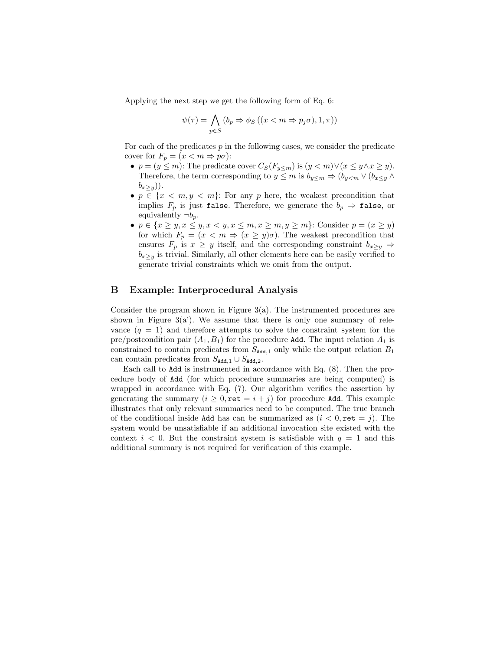Applying the next step we get the following form of Eq. 6:

$$
\psi(\tau) = \bigwedge_{p \in S} (b_p \Rightarrow \phi_S ((x < m \Rightarrow p_j \sigma), 1, \pi))
$$

For each of the predicates  $p$  in the following cases, we consider the predicate cover for  $F_p = (x \le m \Rightarrow p\sigma)$ :

- $p = (y \le m)$ : The predicate cover  $C_S(F_{y \le m})$  is  $(y < m) \vee (x \le y \wedge x \ge y)$ . Therefore, the term corresponding to  $y \leq m$  is  $b_{y \leq m} \Rightarrow (b_{y \leq m} \vee (b_{x \leq y} \wedge b_{y \leq m}))$  $(b_{x>y})$ ).
- $p \in \{x < m, y < m\}$ : For any p here, the weakest precondition that implies  $F_p$  is just false. Therefore, we generate the  $b_p \Rightarrow$  false, or equivalently  $\neg b_p$ .
- $p \in \{x \geq y, x \leq y, x < y, x \leq m, x \geq m, y \geq m\}$ : Consider  $p = (x \geq y)$ for which  $F_p = (x \le m \Rightarrow (x \ge y)\sigma)$ . The weakest precondition that ensures  $F_p$  is  $x \geq y$  itself, and the corresponding constraint  $b_{x\geq y} \Rightarrow$  $b_{x>y}$  is trivial. Similarly, all other elements here can be easily verified to generate trivial constraints which we omit from the output.

# B Example: Interprocedural Analysis

Consider the program shown in Figure  $3(a)$ . The instrumented procedures are shown in Figure  $3(a')$ . We assume that there is only one summary of relevance  $(q = 1)$  and therefore attempts to solve the constraint system for the pre/postcondition pair  $(A_1, B_1)$  for the procedure Add. The input relation  $A_1$  is constrained to contain predicates from  $S_{\text{Add},1}$  only while the output relation  $B_1$ can contain predicates from  $S_{\text{Add},1} \cup S_{\text{Add},2}$ .

Each call to Add is instrumented in accordance with Eq. (8). Then the procedure body of Add (for which procedure summaries are being computed) is wrapped in accordance with Eq. (7). Our algorithm verifies the assertion by generating the summary  $(i > 0, \text{ret} = i + j)$  for procedure Add. This example illustrates that only relevant summaries need to be computed. The true branch of the conditional inside Add has can be summarized as  $(i < 0, \text{ret} = j)$ . The system would be unsatisfiable if an additional invocation site existed with the context  $i < 0$ . But the constraint system is satisfiable with  $q = 1$  and this additional summary is not required for verification of this example.